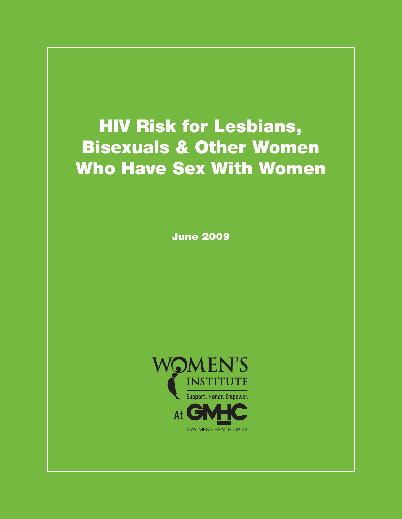# HIV Risk for Lesbians, Bisexuals & Other Women Who Have Sex With Women

June 2009

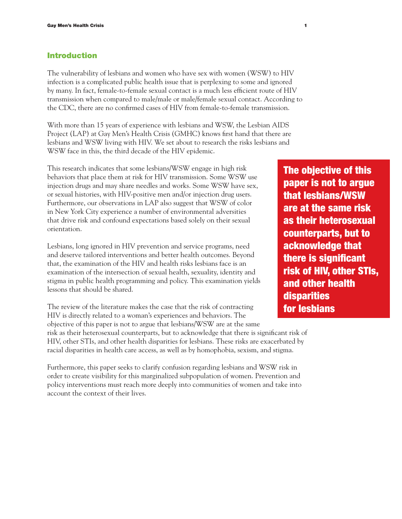#### Introduction

The vulnerability of lesbians and women who have sex with women (WSW) to HIV infection is a complicated public health issue that is perplexing to some and ignored by many. In fact, female-to-female sexual contact is a much less efficient route of HIV transmission when compared to male/male or male/female sexual contact. According to the CDC, there are no confirmed cases of HIV from female-to-female transmission.

With more than 15 years of experience with lesbians and WSW, the Lesbian AIDS Project (LAP) at Gay Men's Health Crisis (GMHC) knows first hand that there are lesbians and WSW living with HIV. We set about to research the risks lesbians and WSW face in this, the third decade of the HIV epidemic.

This research indicates that some lesbians/WSW engage in high risk behaviors that place them at risk for HIV transmission. Some WSW use injection drugs and may share needles and works. Some WSW have sex, or sexual histories, with HIV-positive men and/or injection drug users. Furthermore, our observations in LAP also suggest that WSW of color in New York City experience a number of environmental adversities that drive risk and confound expectations based solely on their sexual orientation.

Lesbians, long ignored in HIV prevention and service programs, need and deserve tailored interventions and better health outcomes. Beyond that, the examination of the HIV and health risks lesbians face is an examination of the intersection of sexual health, sexuality, identity and stigma in public health programming and policy. This examination yields lessons that should be shared.

The review of the literature makes the case that the risk of contracting HIV is directly related to a woman's experiences and behaviors. The objective of this paper is not to argue that lesbians/WSW are at the same

risk as their heterosexual counterparts, but to acknowledge that there is significant risk of HIV, other STIs, and other health disparities for lesbians. These risks are exacerbated by racial disparities in health care access, as well as by homophobia, sexism, and stigma.

Furthermore, this paper seeks to clarify confusion regarding lesbians and WSW risk in order to create visibility for this marginalized subpopulation of women. Prevention and policy interventions must reach more deeply into communities of women and take into account the context of their lives.

The objective of this paper is not to argue that lesbians/WSW are at the same risk as their heterosexual counterparts, but to acknowledge that there is significant risk of HIV, other STIs, and other health disparities for lesbians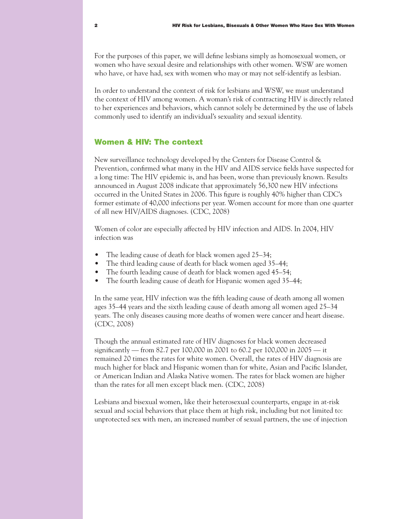For the purposes of this paper, we will define lesbians simply as homosexual women, or women who have sexual desire and relationships with other women. WSW are women who have, or have had, sex with women who may or may not self-identify as lesbian.

In order to understand the context of risk for lesbians and WSW, we must understand the context of HIV among women. A woman's risk of contracting HIV is directly related to her experiences and behaviors, which cannot solely be determined by the use of labels commonly used to identify an individual's sexuality and sexual identity.

### Women & HIV: The context

New surveillance technology developed by the Centers for Disease Control & Prevention, confirmed what many in the HIV and AIDS service fields have suspected for a long time: The HIV epidemic is, and has been, worse than previously known. Results announced in August 2008 indicate that approximately 56,300 new HIV infections occurred in the United States in 2006. This figure is roughly 40% higher than CDC's former estimate of 40,000 infections per year. Women account for more than one quarter of all new HIV/AIDS diagnoses. (CDC, 2008)

Women of color are especially affected by HIV infection and AIDS. In 2004, HIV infection was

- The leading cause of death for black women aged  $25-34$ ;
- The third leading cause of death for black women aged 35-44;
- The fourth leading cause of death for black women aged 45–54;
- The fourth leading cause of death for Hispanic women aged 35–44;

In the same year, HIV infection was the fifth leading cause of death among all women ages 35–44 years and the sixth leading cause of death among all women aged 25–34 years. The only diseases causing more deaths of women were cancer and heart disease. (CDC, 2008)

Though the annual estimated rate of HIV diagnoses for black women decreased significantly — from 82.7 per 100,000 in 2001 to 60.2 per 100,000 in 2005 — it remained 20 times the rates for white women. Overall, the rates of HIV diagnosis are much higher for black and Hispanic women than for white, Asian and Pacific Islander, or American Indian and Alaska Native women. The rates for black women are higher than the rates for all men except black men. (CDC, 2008)

Lesbians and bisexual women, like their heterosexual counterparts, engage in at-risk sexual and social behaviors that place them at high risk, including but not limited to: unprotected sex with men, an increased number of sexual partners, the use of injection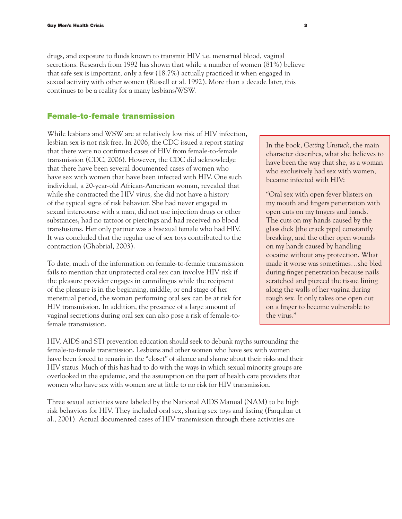drugs, and exposure to fluids known to transmit HIV i.e. menstrual blood, vaginal secretions. Research from 1992 has shown that while a number of women (81%) believe that safe sex is important, only a few (18.7%) actually practiced it when engaged in sexual activity with other women (Russell et al. 1992). More than a decade later, this continues to be a reality for a many lesbians/WSW.

#### Female-to-female transmission

While lesbians and WSW are at relatively low risk of HIV infection, lesbian sex is not risk free. In 2006, the CDC issued a report stating that there were no confirmed cases of HIV from female-to-female transmission (CDC, 2006). However, the CDC did acknowledge that there have been several documented cases of women who have sex with women that have been infected with HIV. One such individual, a 20-year-old African-American woman, revealed that while she contracted the HIV virus, she did not have a history of the typical signs of risk behavior. She had never engaged in sexual intercourse with a man, did not use injection drugs or other substances, had no tattoos or piercings and had received no blood transfusions. Her only partner was a bisexual female who had HIV. It was concluded that the regular use of sex toys contributed to the contraction (Ghobrial, 2003).

To date, much of the information on female-to-female transmission fails to mention that unprotected oral sex can involve HIV risk if the pleasure provider engages in cunnilingus while the recipient of the pleasure is in the beginning, middle, or end stage of her menstrual period, the woman performing oral sex can be at risk for HIV transmission. In addition, the presence of a large amount of vaginal secretions during oral sex can also pose a risk of female-tofemale transmission.

In the book, *Getting Unstuck*, the main character describes, what she believes to have been the way that she, as a woman who exclusively had sex with women, became infected with HIV:

"Oral sex with open fever blisters on my mouth and fingers penetration with open cuts on my fingers and hands. The cuts on my hands caused by the glass dick [the crack pipe] constantly breaking, and the other open wounds on my hands caused by handling cocaine without any protection. What made it worse was sometimes…she bled during finger penetration because nails scratched and pierced the tissue lining along the walls of her vagina during rough sex. It only takes one open cut on a finger to become vulnerable to the virus."

HIV, AIDS and STI prevention education should seek to debunk myths surrounding the female-to-female transmission. Lesbians and other women who have sex with women have been forced to remain in the "closet" of silence and shame about their risks and their HIV status. Much of this has had to do with the ways in which sexual minority groups are overlooked in the epidemic, and the assumption on the part of health care providers that women who have sex with women are at little to no risk for HIV transmission.

Three sexual activities were labeled by the National AIDS Manual (NAM) to be high risk behaviors for HIV. They included oral sex, sharing sex toys and fisting (Farquhar et al., 2001). Actual documented cases of HIV transmission through these activities are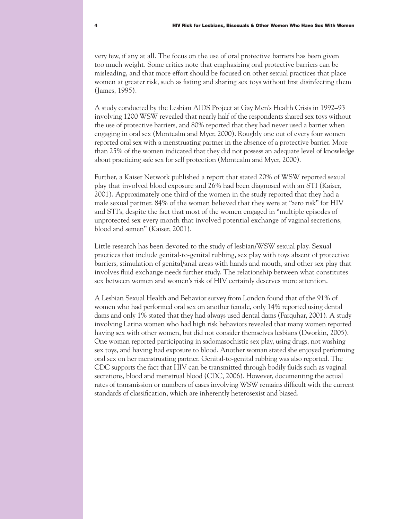very few, if any at all. The focus on the use of oral protective barriers has been given too much weight. Some critics note that emphasizing oral protective barriers can be misleading, and that more effort should be focused on other sexual practices that place women at greater risk, such as fisting and sharing sex toys without first disinfecting them (James, 1995).

A study conducted by the Lesbian AIDS Project at Gay Men's Health Crisis in 1992–93 involving 1200 WSW revealed that nearly half of the respondents shared sex toys without the use of protective barriers, and 80% reported that they had never used a barrier when engaging in oral sex (Montcalm and Myer, 2000). Roughly one out of every four women reported oral sex with a menstruating partner in the absence of a protective barrier. More than 25% of the women indicated that they did not possess an adequate level of knowledge about practicing safe sex for self protection (Montcalm and Myer, 2000).

Further, a Kaiser Network published a report that stated 20% of WSW reported sexual play that involved blood exposure and 26% had been diagnosed with an STI (Kaiser, 2001). Approximately one third of the women in the study reported that they had a male sexual partner. 84% of the women believed that they were at "zero risk" for HIV and STI's, despite the fact that most of the women engaged in "multiple episodes of unprotected sex every month that involved potential exchange of vaginal secretions, blood and semen" (Kaiser, 2001).

Little research has been devoted to the study of lesbian/WSW sexual play. Sexual practices that include genital-to-genital rubbing, sex play with toys absent of protective barriers, stimulation of genital/anal areas with hands and mouth, and other sex play that involves fluid exchange needs further study. The relationship between what constitutes sex between women and women's risk of HIV certainly deserves more attention.

A Lesbian Sexual Health and Behavior survey from London found that of the 91% of women who had performed oral sex on another female, only 14% reported using dental dams and only 1% stated that they had always used dental dams (Farquhar, 2001). A study involving Latina women who had high risk behaviors revealed that many women reported having sex with other women, but did not consider themselves lesbians (Dworkin, 2005). One woman reported participating in sadomasochistic sex play, using drugs, not washing sex toys, and having had exposure to blood. Another woman stated she enjoyed performing oral sex on her menstruating partner. Genital-to-genital rubbing was also reported. The CDC supports the fact that HIV can be transmitted through bodily fluids such as vaginal secretions, blood and menstrual blood (CDC, 2006). However, documenting the actual rates of transmission or numbers of cases involving WSW remains difficult with the current standards of classification, which are inherently heterosexist and biased.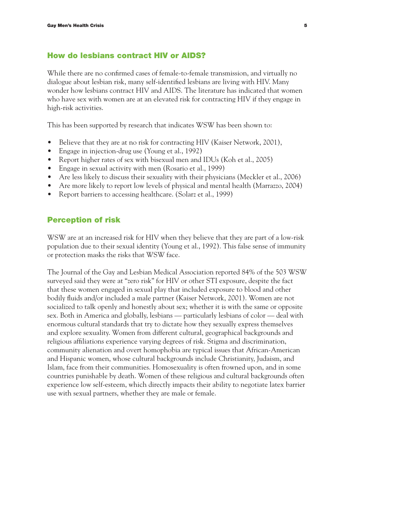### How do lesbians contract HIV or AIDS?

While there are no confirmed cases of female-to-female transmission, and virtually no dialogue about lesbian risk, many self-identified lesbians are living with HIV. Many wonder how lesbians contract HIV and AIDS. The literature has indicated that women who have sex with women are at an elevated risk for contracting HIV if they engage in high-risk activities.

This has been supported by research that indicates WSW has been shown to:

- Believe that they are at no risk for contracting HIV (Kaiser Network, 2001),
- Engage in injection-drug use (Young et al., 1992)
- Report higher rates of sex with bisexual men and IDUs (Koh et al., 2005)
- Engage in sexual activity with men (Rosario et al., 1999)
- Are less likely to discuss their sexuality with their physicians (Meckler et al., 2006)
- Are more likely to report low levels of physical and mental health (Marrazzo, 2004)
- Report barriers to accessing healthcare. (Solarz et al., 1999)

#### Perception of risk

WSW are at an increased risk for HIV when they believe that they are part of a low-risk population due to their sexual identity (Young et al., 1992). This false sense of immunity or protection masks the risks that WSW face.

The Journal of the Gay and Lesbian Medical Association reported 84% of the 503 WSW surveyed said they were at "zero risk" for HIV or other STI exposure, despite the fact that these women engaged in sexual play that included exposure to blood and other bodily fluids and/or included a male partner (Kaiser Network, 2001). Women are not socialized to talk openly and honestly about sex; whether it is with the same or opposite sex. Both in America and globally, lesbians — particularly lesbians of color — deal with enormous cultural standards that try to dictate how they sexually express themselves and explore sexuality. Women from different cultural, geographical backgrounds and religious affiliations experience varying degrees of risk. Stigma and discrimination, community alienation and overt homophobia are typical issues that African-American and Hispanic women, whose cultural backgrounds include Christianity, Judaism, and Islam, face from their communities. Homosexuality is often frowned upon, and in some countries punishable by death. Women of these religious and cultural backgrounds often experience low self-esteem, which directly impacts their ability to negotiate latex barrier use with sexual partners, whether they are male or female.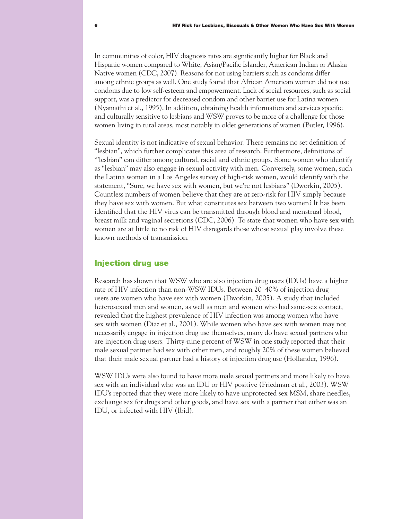In communities of color, HIV diagnosis rates are significantly higher for Black and Hispanic women compared to White, Asian/Pacific Islander, American Indian or Alaska Native women (CDC, 2007). Reasons for not using barriers such as condoms differ among ethnic groups as well. One study found that African American women did not use condoms due to low self-esteem and empowerment. Lack of social resources, such as social support, was a predictor for decreased condom and other barrier use for Latina women (Nyamathi et al., 1995). In addition, obtaining health information and services specific and culturally sensitive to lesbians and WSW proves to be more of a challenge for those women living in rural areas, most notably in older generations of women (Butler, 1996).

Sexual identity is not indicative of sexual behavior. There remains no set definition of "lesbian", which further complicates this area of research. Furthermore, definitions of '"lesbian" can differ among cultural, racial and ethnic groups. Some women who identify as "lesbian" may also engage in sexual activity with men. Conversely, some women, such the Latina women in a Los Angeles survey of high-risk women, would identify with the statement, "Sure, we have sex with women, but we're not lesbians" (Dworkin, 2005). Countless numbers of women believe that they are at zero-risk for HIV simply because they have sex with women. But what constitutes sex between two women? It has been identified that the HIV virus can be transmitted through blood and menstrual blood, breast milk and vaginal secretions (CDC, 2006). To state that women who have sex with women are at little to no risk of HIV disregards those whose sexual play involve these known methods of transmission.

## Injection drug use

Research has shown that WSW who are also injection drug users (IDUs) have a higher rate of HIV infection than non-WSW IDUs. Between 20–40% of injection drug users are women who have sex with women (Dworkin, 2005). A study that included heterosexual men and women, as well as men and women who had same-sex contact, revealed that the highest prevalence of HIV infection was among women who have sex with women (Diaz et al., 2001). While women who have sex with women may not necessarily engage in injection drug use themselves, many do have sexual partners who are injection drug users. Thirty-nine percent of WSW in one study reported that their male sexual partner had sex with other men, and roughly 20% of these women believed that their male sexual partner had a history of injection drug use (Hollander, 1996).

WSW IDUs were also found to have more male sexual partners and more likely to have sex with an individual who was an IDU or HIV positive (Friedman et al., 2003). WSW IDU's reported that they were more likely to have unprotected sex MSM, share needles, exchange sex for drugs and other goods, and have sex with a partner that either was an IDU, or infected with HIV (Ibid).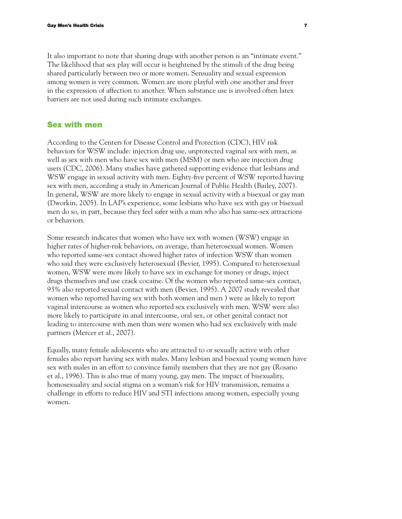It also important to note that sharing drugs with another person is an "intimate event." The likelihood that sex play will occur is heightened by the stimuli of the drug being shared particularly between two or more women. Sensuality and sexual expression among women is very common. Women are more playful with one another and freer in the expression of affection to another. When substance use is involved often latex barriers are not used during such intimate exchanges.

#### Sex with men

According to the Centers for Disease Control and Protection (CDC), HIV risk behaviors for WSW include: injection drug use, unprotected vaginal sex with men, as well as sex with men who have sex with men (MSM) or men who are injection drug users (CDC, 2006). Many studies have gathered supporting evidence that lesbians and WSW engage in sexual activity with men. Eighty-five percent of WSW reported having sex with men, according a study in American Journal of Public Health (Bailey, 2007). In general, WSW are more likely to engage in sexual activity with a bisexual or gay man (Dworkin, 2005). In LAP's experience, some lesbians who have sex with gay or bisexual men do so, in part, because they feel safer with a man who also has same-sex attractions or behaviors.

Some research indicates that women who have sex with women (WSW) engage in higher rates of higher-risk behaviors, on average, than heterosexual women. Women who reported same-sex contact showed higher rates of infection WSW than women who said they were exclusively heterosexual (Bevier, 1995). Compared to heterosexual women, WSW were more likely to have sex in exchange for money or drugs, inject drugs themselves and use crack cocaine. Of the women who reported same-sex contact, 93% also reported sexual contact with men (Bevier, 1995). A 2007 study revealed that women who reported having sex with both women and men ) were as likely to report vaginal intercourse as women who reported sex exclusively with men. WSW were also more likely to participate in anal intercourse, oral sex, or other genital contact not leading to intercourse with men than were women who had sex exclusively with male partners (Mercer et al., 2007).

Equally, many female adolescents who are attracted to or sexually active with other females also report having sex with males. Many lesbian and bisexual young women have sex with males in an effort to convince family members that they are not gay (Rosario et al., 1996). This is also true of many young, gay men. The impact of bisexuality, homosexuality and social stigma on a woman's risk for HIV transmission, remains a challenge in efforts to reduce HIV and STI infections among women, especially young women.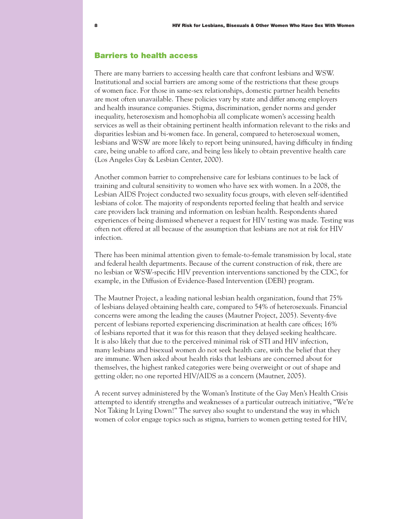#### Barriers to health access

There are many barriers to accessing health care that confront lesbians and WSW. Institutional and social barriers are among some of the restrictions that these groups of women face. For those in same-sex relationships, domestic partner health benefits are most often unavailable. These policies vary by state and differ among employers and health insurance companies. Stigma, discrimination, gender norms and gender inequality, heterosexism and homophobia all complicate women's accessing health services as well as their obtaining pertinent health information relevant to the risks and disparities lesbian and bi-women face. In general, compared to heterosexual women, lesbians and WSW are more likely to report being uninsured, having difficulty in finding care, being unable to afford care, and being less likely to obtain preventive health care (Los Angeles Gay & Lesbian Center, 2000).

Another common barrier to comprehensive care for lesbians continues to be lack of training and cultural sensitivity to women who have sex with women. In a 2008, the Lesbian AIDS Project conducted two sexuality focus groups, with eleven self-identified lesbians of color. The majority of respondents reported feeling that health and service care providers lack training and information on lesbian health. Respondents shared experiences of being dismissed whenever a request for HIV testing was made. Testing was often not offered at all because of the assumption that lesbians are not at risk for HIV infection.

There has been minimal attention given to female-to-female transmission by local, state and federal health departments. Because of the current construction of risk, there are no lesbian or WSW-specific HIV prevention interventions sanctioned by the CDC, for example, in the Diffusion of Evidence-Based Intervention (DEBI) program.

The Mautner Project, a leading national lesbian health organization, found that 75% of lesbians delayed obtaining health care, compared to 54% of heterosexuals. Financial concerns were among the leading the causes (Mautner Project, 2005). Seventy-five percent of lesbians reported experiencing discrimination at health care offices; 16% of lesbians reported that it was for this reason that they delayed seeking healthcare. It is also likely that due to the perceived minimal risk of STI and HIV infection, many lesbians and bisexual women do not seek health care, with the belief that they are immune. When asked about health risks that lesbians are concerned about for themselves, the highest ranked categories were being overweight or out of shape and getting older; no one reported HIV/AIDS as a concern (Mautner, 2005).

A recent survey administered by the Woman's Institute of the Gay Men's Health Crisis attempted to identify strengths and weaknesses of a particular outreach initiative, "We're Not Taking It Lying Down!" The survey also sought to understand the way in which women of color engage topics such as stigma, barriers to women getting tested for HIV,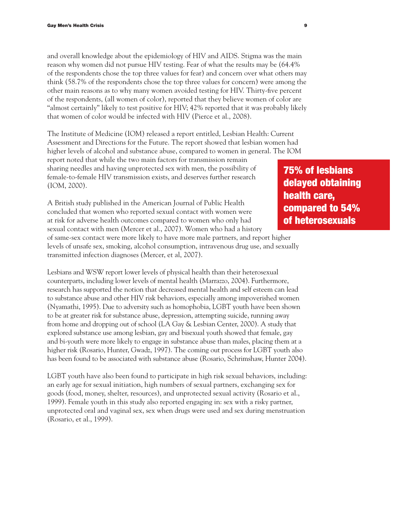and overall knowledge about the epidemiology of HIV and AIDS. Stigma was the main reason why women did not pursue HIV testing. Fear of what the results may be (64.4% of the respondents chose the top three values for fear) and concern over what others may think (58.7% of the respondents chose the top three values for concern) were among the other main reasons as to why many women avoided testing for HIV. Thirty-five percent of the respondents, (all women of color), reported that they believe women of color are "almost certainly" likely to test positive for HIV; 42% reported that it was probably likely that women of color would be infected with HIV (Pierce et al., 2008).

The Institute of Medicine (IOM) released a report entitled, Lesbian Health: Current Assessment and Directions for the Future. The report showed that lesbian women had higher levels of alcohol and substance abuse, compared to women in general. The IOM

report noted that while the two main factors for transmission remain sharing needles and having unprotected sex with men, the possibility of female-to-female HIV transmission exists, and deserves further research (IOM, 2000).

A British study published in the American Journal of Public Health concluded that women who reported sexual contact with women were at risk for adverse health outcomes compared to women who only had sexual contact with men (Mercer et al., 2007). Women who had a history of same-sex contact were more likely to have more male partners, and report higher

levels of unsafe sex, smoking, alcohol consumption, intravenous drug use, and sexually transmitted infection diagnoses (Mercer, et al, 2007).

Lesbians and WSW report lower levels of physical health than their heterosexual counterparts, including lower levels of mental health (Marrazzo, 2004). Furthermore, research has supported the notion that decreased mental health and self esteem can lead to substance abuse and other HIV risk behaviors, especially among impoverished women (Nyamathi, 1995). Due to adversity such as homophobia, LGBT youth have been shown to be at greater risk for substance abuse, depression, attempting suicide, running away from home and dropping out of school (LA Gay & Lesbian Center, 2000). A study that explored substance use among lesbian, gay and bisexual youth showed that female, gay and bi-youth were more likely to engage in substance abuse than males, placing them at a higher risk (Rosario, Hunter, Gwadz, 1997). The coming out process for LGBT youth also has been found to be associated with substance abuse (Rosario, Schrimshaw, Hunter 2004).

LGBT youth have also been found to participate in high risk sexual behaviors, including: an early age for sexual initiation, high numbers of sexual partners, exchanging sex for goods (food, money, shelter, resources), and unprotected sexual activity (Rosario et al., 1999). Female youth in this study also reported engaging in: sex with a risky partner, unprotected oral and vaginal sex, sex when drugs were used and sex during menstruation (Rosario, et al., 1999).

75% of lesbians delayed obtaining health care, compared to 54% of heterosexuals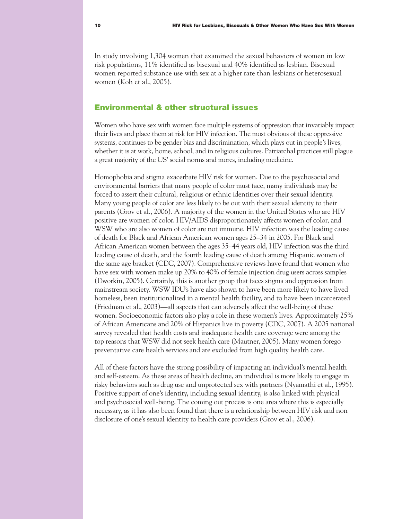In study involving 1,304 women that examined the sexual behaviors of women in low risk populations, 11% identified as bisexual and 40% identified as lesbian. Bisexual women reported substance use with sex at a higher rate than lesbians or heterosexual women (Koh et al., 2005).

### Environmental & other structural issues

Women who have sex with women face multiple systems of oppression that invariably impact their lives and place them at risk for HIV infection. The most obvious of these oppressive systems, continues to be gender bias and discrimination, which plays out in people's lives, whether it is at work, home, school, and in religious cultures. Patriarchal practices still plague a great majority of the US' social norms and mores, including medicine.

Homophobia and stigma exacerbate HIV risk for women. Due to the psychosocial and environmental barriers that many people of color must face, many individuals may be forced to assert their cultural, religious or ethnic identities over their sexual identity. Many young people of color are less likely to be out with their sexual identity to their parents (Grov et al., 2006). A majority of the women in the United States who are HIV positive are women of color. HIV/AIDS disproportionately affects women of color, and WSW who are also women of color are not immune. HIV infection was the leading cause of death for Black and African American women ages 25–34 in 2005. For Black and African American women between the ages 35–44 years old, HIV infection was the third leading cause of death, and the fourth leading cause of death among Hispanic women of the same age bracket (CDC, 2007). Comprehensive reviews have found that women who have sex with women make up 20% to 40% of female injection drug users across samples (Dworkin, 2005). Certainly, this is another group that faces stigma and oppression from mainstream society. WSW IDU's have also shown to have been more likely to have lived homeless, been institutionalized in a mental health facility, and to have been incarcerated (Friedman et al., 2003)—all aspects that can adversely affect the well-being of these women. Socioeconomic factors also play a role in these women's lives. Approximately 25% of African Americans and 20% of Hispanics live in poverty (CDC, 2007). A 2005 national survey revealed that health costs and inadequate health care coverage were among the top reasons that WSW did not seek health care (Mautner, 2005). Many women forego preventative care health services and are excluded from high quality health care.

All of these factors have the strong possibility of impacting an individual's mental health and self-esteem. As these areas of health decline, an individual is more likely to engage in risky behaviors such as drug use and unprotected sex with partners (Nyamathi et al., 1995). Positive support of one's identity, including sexual identity, is also linked with physical and psychosocial well-being. The coming out process is one area where this is especially necessary, as it has also been found that there is a relationship between HIV risk and non disclosure of one's sexual identity to health care providers (Grov et al., 2006).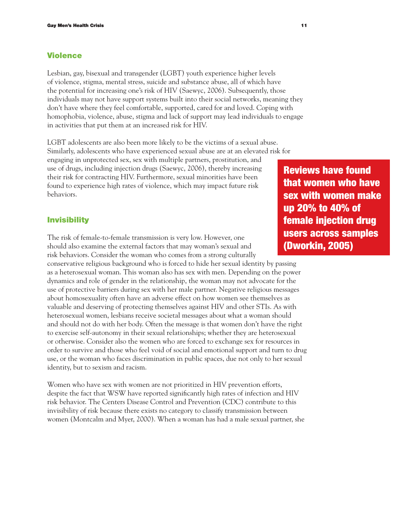## Violence

Lesbian, gay, bisexual and transgender (LGBT) youth experience higher levels of violence, stigma, mental stress, suicide and substance abuse, all of which have the potential for increasing one's risk of HIV (Saewyc, 2006). Subsequently, those individuals may not have support systems built into their social networks, meaning they don't have where they feel comfortable, supported, cared for and loved. Coping with homophobia, violence, abuse, stigma and lack of support may lead individuals to engage in activities that put them at an increased risk for HIV.

LGBT adolescents are also been more likely to be the victims of a sexual abuse. Similarly, adolescents who have experienced sexual abuse are at an elevated risk for engaging in unprotected sex, sex with multiple partners, prostitution, and use of drugs, including injection drugs (Saewyc, 2006), thereby increasing their risk for contracting HIV. Furthermore, sexual minorities have been found to experience high rates of violence, which may impact future risk behaviors.

#### **Invisibility**

The risk of female-to-female transmission is very low. However, one should also examine the external factors that may woman's sexual and risk behaviors. Consider the woman who comes from a strong culturally

conservative religious background who is forced to hide her sexual identity by passing as a heterosexual woman. This woman also has sex with men. Depending on the power dynamics and role of gender in the relationship, the woman may not advocate for the use of protective barriers during sex with her male partner. Negative religious messages about homosexuality often have an adverse effect on how women see themselves as valuable and deserving of protecting themselves against HIV and other STIs. As with heterosexual women, lesbians receive societal messages about what a woman should and should not do with her body. Often the message is that women don't have the right to exercise self-autonomy in their sexual relationships; whether they are heterosexual or otherwise. Consider also the women who are forced to exchange sex for resources in order to survive and those who feel void of social and emotional support and turn to drug use, or the woman who faces discrimination in public spaces, due not only to her sexual identity, but to sexism and racism.

Women who have sex with women are not prioritized in HIV prevention efforts, despite the fact that WSW have reported significantly high rates of infection and HIV risk behavior. The Centers Disease Control and Prevention (CDC) contribute to this invisibility of risk because there exists no category to classify transmission between women (Montcalm and Myer, 2000). When a woman has had a male sexual partner, she

Reviews have found that women who have sex with women make up 20% to 40% of female injection drug users across samples (Dworkin, 2005)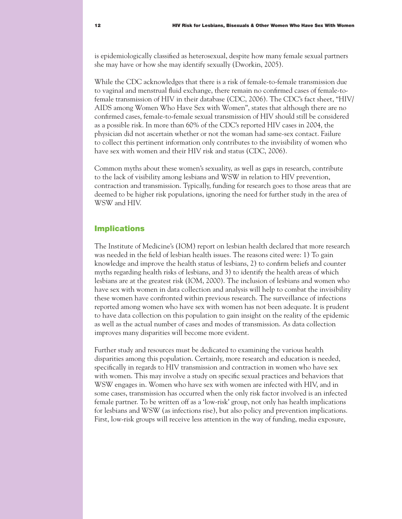is epidemiologically classified as heterosexual, despite how many female sexual partners she may have or how she may identify sexually (Dworkin, 2005).

While the CDC acknowledges that there is a risk of female-to-female transmission due to vaginal and menstrual fluid exchange, there remain no confirmed cases of female-tofemale transmission of HIV in their database (CDC, 2006). The CDC's fact sheet, "HIV/ AIDS among Women Who Have Sex with Women", states that although there are no confirmed cases, female-to-female sexual transmission of HIV should still be considered as a possible risk. In more than 60% of the CDC's reported HIV cases in 2004, the physician did not ascertain whether or not the woman had same-sex contact. Failure to collect this pertinent information only contributes to the invisibility of women who have sex with women and their HIV risk and status (CDC, 2006).

Common myths about these women's sexuality, as well as gaps in research, contribute to the lack of visibility among lesbians and WSW in relation to HIV prevention, contraction and transmission. Typically, funding for research goes to those areas that are deemed to be higher risk populations, ignoring the need for further study in the area of WSW and HIV.

#### Implications

The Institute of Medicine's (IOM) report on lesbian health declared that more research was needed in the field of lesbian health issues. The reasons cited were: 1) To gain knowledge and improve the health status of lesbians, 2) to confirm beliefs and counter myths regarding health risks of lesbians, and 3) to identify the health areas of which lesbians are at the greatest risk (IOM, 2000). The inclusion of lesbians and women who have sex with women in data collection and analysis will help to combat the invisibility these women have confronted within previous research. The surveillance of infections reported among women who have sex with women has not been adequate. It is prudent to have data collection on this population to gain insight on the reality of the epidemic as well as the actual number of cases and modes of transmission. As data collection improves many disparities will become more evident.

Further study and resources must be dedicated to examining the various health disparities among this population. Certainly, more research and education is needed, specifically in regards to HIV transmission and contraction in women who have sex with women. This may involve a study on specific sexual practices and behaviors that WSW engages in. Women who have sex with women are infected with HIV, and in some cases, transmission has occurred when the only risk factor involved is an infected female partner. To be written off as a 'low-risk' group, not only has health implications for lesbians and WSW (as infections rise), but also policy and prevention implications. First, low-risk groups will receive less attention in the way of funding, media exposure,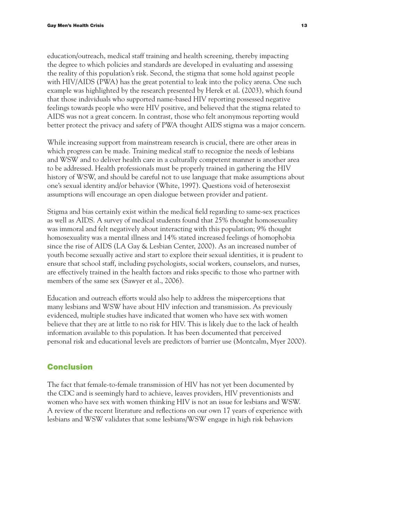education/outreach, medical staff training and health screening, thereby impacting the degree to which policies and standards are developed in evaluating and assessing the reality of this population's risk. Second, the stigma that some hold against people with HIV/AIDS (PWA) has the great potential to leak into the policy arena. One such example was highlighted by the research presented by Herek et al. (2003), which found that those individuals who supported name-based HIV reporting possessed negative feelings towards people who were HIV positive, and believed that the stigma related to AIDS was not a great concern. In contrast, those who felt anonymous reporting would better protect the privacy and safety of PWA thought AIDS stigma was a major concern.

While increasing support from mainstream research is crucial, there are other areas in which progress can be made. Training medical staff to recognize the needs of lesbians and WSW and to deliver health care in a culturally competent manner is another area to be addressed. Health professionals must be properly trained in gathering the HIV history of WSW, and should be careful not to use language that make assumptions about one's sexual identity and/or behavior (White, 1997). Questions void of heterosexist assumptions will encourage an open dialogue between provider and patient.

Stigma and bias certainly exist within the medical field regarding to same-sex practices as well as AIDS. A survey of medical students found that 25% thought homosexuality was immoral and felt negatively about interacting with this population; 9% thought homosexuality was a mental illness and 14% stated increased feelings of homophobia since the rise of AIDS (LA Gay & Lesbian Center, 2000). As an increased number of youth become sexually active and start to explore their sexual identities, it is prudent to ensure that school staff, including psychologists, social workers, counselors, and nurses, are effectively trained in the health factors and risks specific to those who partner with members of the same sex (Sawyer et al., 2006).

Education and outreach efforts would also help to address the misperceptions that many lesbians and WSW have about HIV infection and transmission. As previously evidenced, multiple studies have indicated that women who have sex with women believe that they are at little to no risk for HIV. This is likely due to the lack of health information available to this population. It has been documented that perceived personal risk and educational levels are predictors of barrier use (Montcalm, Myer 2000).

## **Conclusion**

The fact that female-to-female transmission of HIV has not yet been documented by the CDC and is seemingly hard to achieve, leaves providers, HIV preventionists and women who have sex with women thinking HIV is not an issue for lesbians and WSW. A review of the recent literature and reflections on our own 17 years of experience with lesbians and WSW validates that some lesbians/WSW engage in high risk behaviors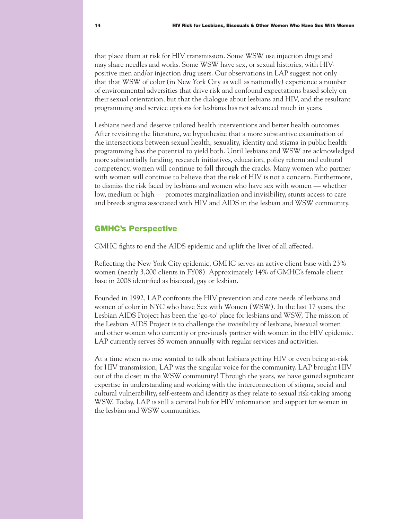that place them at risk for HIV transmission. Some WSW use injection drugs and may share needles and works. Some WSW have sex, or sexual histories, with HIVpositive men and/or injection drug users. Our observations in LAP suggest not only that that WSW of color (in New York City as well as nationally) experience a number of environmental adversities that drive risk and confound expectations based solely on their sexual orientation, but that the dialogue about lesbians and HIV, and the resultant programming and service options for lesbians has not advanced much in years.

Lesbians need and deserve tailored health interventions and better health outcomes. After revisiting the literature, we hypothesize that a more substantive examination of the intersections between sexual health, sexuality, identity and stigma in public health programming has the potential to yield both. Until lesbians and WSW are acknowledged more substantially funding, research initiatives, education, policy reform and cultural competency, women will continue to fall through the cracks. Many women who partner with women will continue to believe that the risk of HIV is not a concern. Furthermore, to dismiss the risk faced by lesbians and women who have sex with women — whether low, medium or high — promotes marginalization and invisibility, stunts access to care and breeds stigma associated with HIV and AIDS in the lesbian and WSW community.

#### GMHC's Perspective

GMHC fights to end the AIDS epidemic and uplift the lives of all affected.

Reflecting the New York City epidemic, GMHC serves an active client base with 23% women (nearly 3,000 clients in FY08). Approximately 14% of GMHC's female client base in 2008 identified as bisexual, gay or lesbian.

Founded in 1992, LAP confronts the HIV prevention and care needs of lesbians and women of color in NYC who have Sex with Women (WSW). In the last 17 years, the Lesbian AIDS Project has been the 'go-to' place for lesbians and WSW, The mission of the Lesbian AIDS Project is to challenge the invisibility of lesbians, bisexual women and other women who currently or previously partner with women in the HIV epidemic. LAP currently serves 85 women annually with regular services and activities.

At a time when no one wanted to talk about lesbians getting HIV or even being at-risk for HIV transmission, LAP was the singular voice for the community. LAP brought HIV out of the closet in the WSW community! Through the years, we have gained significant expertise in understanding and working with the interconnection of stigma, social and cultural vulnerability, self-esteem and identity as they relate to sexual risk-taking among WSW. Today, LAP is still a central hub for HIV information and support for women in the lesbian and WSW communities.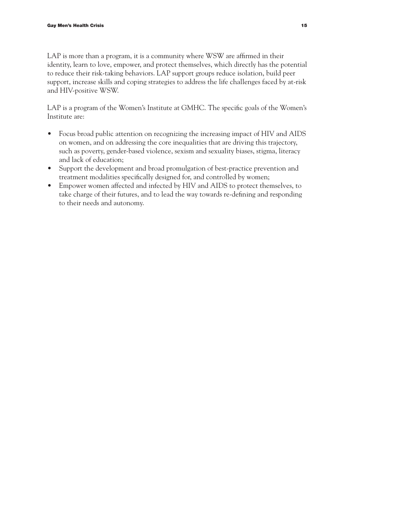LAP is more than a program, it is a community where WSW are affirmed in their identity, learn to love, empower, and protect themselves, which directly has the potential to reduce their risk-taking behaviors. LAP support groups reduce isolation, build peer support, increase skills and coping strategies to address the life challenges faced by at-risk and HIV-positive WSW.

LAP is a program of the Women's Institute at GMHC. The specific goals of the Women's Institute are:

- Focus broad public attention on recognizing the increasing impact of HIV and AIDS on women, and on addressing the core inequalities that are driving this trajectory, such as poverty, gender-based violence, sexism and sexuality biases, stigma, literacy and lack of education;
- Support the development and broad promulgation of best-practice prevention and treatment modalities specifically designed for, and controlled by women;
- Empower women affected and infected by HIV and AIDS to protect themselves, to take charge of their futures, and to lead the way towards re-defining and responding to their needs and autonomy.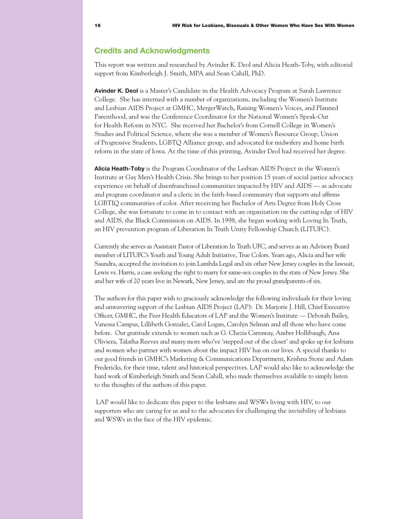### **Credits and Acknowledgments**

This report was written and researched by Avinder K. Deol and Alicia Heath-Toby, with editorial support from Kimberleigh J. Smith, MPA and Sean Cahill, PhD.

**Avinder K. Deol** is a Master's Candidate in the Health Advocacy Program at Sarah Lawrence College. She has interned with a number of organizations, including the Women's Institute and Lesbian AIDS Project at GMHC, MergerWatch, Raising Women's Voices, and Planned Parenthood, and was the Conference Coordinator for the National Women's Speak-Out for Health Reform in NYC. She received her Bachelor's from Cornell College in Women's Studies and Political Science, where she was a member of Women's Resource Group, Union of Progressive Students, LGBTQ Alliance group, and advocated for midwifery and home birth reform in the state of Iowa. At the time of this printing, Avinder Deol had received her degree.

**Alicia Heath-Toby** is the Program Coordinator of the Lesbian AIDS Project in the Women's Institute at Gay Men's Health Crisis. She brings to her position 15 years of social justice advocacy experience on behalf of disenfranchised communities impacted by HIV and AIDS — as advocate and program coordinator and a cleric in the faith-based community that supports and affirms LGBTIQ communities of color. After receiving her Bachelor of Arts Degree from Holy Cross College, she was fortunate to come in to contact with an organization on the cutting edge of HIV and AIDS, the Black Commission on AIDS. In 1998, she began working with Loving In Truth, an HIV prevention program of Liberation In Truth Unity Fellowship Church (LITUFC).

Currently she serves as Assistant Pastor of Liberation In Truth UFC, and serves as an Advisory Board member of LITUFC's Youth and Young Adult Initiative, True Colors. Years ago, Alicia and her wife Saundra, accepted the invitation to join Lambda Legal and six other New Jersey couples in the lawsuit, Lewis vs. Harris, a case seeking the right to marry for same-sex couples in the state of New Jersey. She and her wife of 20 years live in Newark, New Jersey, and are the proud grandparents of six.

The authors for this paper wish to graciously acknowledge the following individuals for their loving and unwavering support of the Lesbian AIDS Project (LAP): Dr. Marjorie J. Hill, Chief Executive Officer, GMHC, the Peer Health Educators of LAP and the Women's Institute — Deborah Bailey, Vanessa Campus, Lillibeth Gonzalez, Carol Logan, Carolyn Selman and all those who have come before. Our gratitude extends to women such as G. Chezia Carraway, Amber Hollibaugh, Ana Oliviera, Talatha Reeves and many more who've 'stepped out of the closet' and spoke up for lesbians and women who partner with women about the impact HIV has on our lives. A special thanks to our good friends in GMHC's Marketing & Communications Department, Krishna Stone and Adam Fredericks, for their time, talent and historical perspectives. LAP would also like to acknowledge the hard work of Kimberleigh Smith and Sean Cahill, who made themselves available to simply listen to the thoughts of the authors of this paper.

 LAP would like to dedicate this paper to the lesbians and WSWs living with HIV, to our supporters who are caring for us and to the advocates for challenging the invisibility of lesbians and WSWs in the face of the HIV epidemic.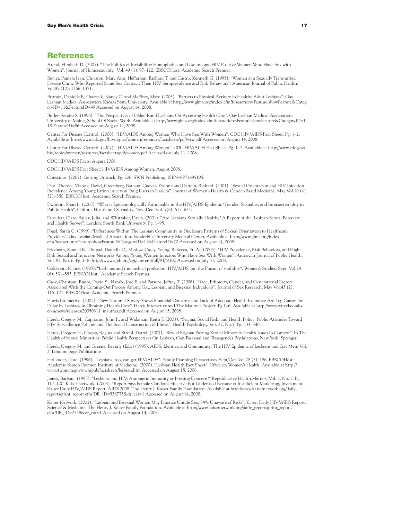#### References

Arend, Elizabeth D. (2005). "The Politics of Invisibility: Homophobia and Low-Income HIV-Positive Women Who Have Sex with Women". Journal of Homosexuality. Vol. 49 (1): 97–122. EBSCOHost: Academic Search Premier.

Bevier, Pamela Jean, Chiasson, Mary Ann, Heffernan, Richard T. and Castro, Kenneth G. (1995). "Women at a Sexually Transmitted Disease Clinic Who Reported Same-Sex Contact: Their HIV Seroprevalence and Risk Behaviors". American Journal of Public Health. Vol.85 (10): 1366–1371.

Brittain, Danielle R, Gyurcsik, Nancy C. and McElroy, Mary. (2003). "Barriers to Physical Activity in Healthy Adult Lesbians". Gay Lesbian Medical Association. Kansas State University. Available at http://www.glma.org/index.cfm?fuseaction=Feature.showFeature&Categ oryID=11&FeatureID=49 Accessed on August 14, 2008.

Butler, Sandra S. (1996). "The Perspectives of Older, Rural Lesbians On Accessing Health Care". Gay Lesbian Medical Association. University of Maine, School Of Social Work. Available at http://www.glma.org/index.cfm?fuseaction=Feature.showFeature&CategoryID=1 1&FeatureID=86 Accessed on August 14, 2008.

Center For Disease Control. (2006). "HIV/AIDS Among Women Who Have Sex With Women". CDC HIV/AIDS Fact Sheet. Pg. 1–2. Available at http://www.cdc.gov/hiv/topics/women/resources/factsheets/pdf/wsw.pdf Accessed on August 14, 2008.

Center For Disease Control. (2007). "HIV/AIDS Among Women". CDC HIV/AIDS Fact Sheet. Pg. 1–7. Available at http://www.cdc.gov/ hiv/topics/women/resources/factsheets/pdf/women.pdf Accessed on July 21, 2008.

CDC HIV/AIDS Facts, August 2008.

CDC HIV/AIDS Fact Sheet: HIV/AIDS Among Women, August 2008.

Conscious. (2002). Getting Unstuck, Pg. 206. SWN Publishing, ISBN#0971695105.

Diaz, Theresa, Vlahov, David, Greenberg, Barbara, Cuevas, Yvonne and Garfein, Richard. (2001). "Sexual Orientation and HIV Infection Prevalence Among Young Latino Injection Drug Users in Harlem". Journal of Women's Health & Gender-Based Medicine. May Vol.10 (4): 371–380. EBSCOHost: Academic Search Premier.

Dworkin, Shari L. (2005). "Who is Epidemiologically Fathomable in the HIV/AIDS Epidemic? Gender, Sexuality, and Intersectionality in Public Health". Culture, Health and Sexuality. Nov–Dec. Vol. 7(6): 615–623.

Farquhar, Clare, Bailey, Julia, and Whittaker, Dawn. (2001). "Are Lesbians Sexually Healthy? A Report of the 'Lesbian Sexual Behavior and Health Survey". London: South Bank University. Pg. 1–95.

Fogel, Sarah C. (1999). "Differences Within The Lesbian Community in Disclosure Patterns of Sexual Orientation to Healthcare Providers". Gay Lesbian Medical Association. Vanderbilt University Medical Center. Available at http://www.glma.org/index. cfm?fuseaction=Feature.showFeature&CategoryID=11&FeatureID=70 Accessed on August 14, 2008.

Friedman, Samuel R., Ompad, Danielle C., Maslow, Casey, Young, Rebecca, Et. Al. (2003). "HIV Prevalence, Risk Behaviors, and High-Risk Sexual and Injection Networks Among Young Women Injectors Who Have Sex With Women". American Journal of Public Health. Vol. 93, No. 6. Pg. 1–8. http://www.ajph.org/cgi/content/full/93/6/302 Accessed on July 31, 2008.

Goldstein, Nancy. (1995). "Lesbians and the medical profession: HIV/AIDS and the Pursuit of visibility". Women's Studies. Sept. Vol.24 (6): 531–553. EBSCOHost: Academic Search Premier.

Grov, Christian, Bimbi, David S., NaníN, José E. and Parsons, Jeffrey T. (2006). "Race, Ethnicity, Gender, and Generational Factors Associated With the Coming-Out Process Among Gay, Lesbian, and Bisexual Individuals". Journal of Sex Research. May Vol.43 (2): 115–121. EBSCOHost: Academic Search Premier.

Harris Interactive. (2005). "New National Survey Shows Financial Concerns and Lack of Adequate Health Insurance Are Top Causes for Delay by Lesbians in Obtaining Health Care". Harris Interactive and The Mautner Project. Pg.1–6. Available at http://www.witeckcombs. com/news/releases/20050311\_mautner.pdf Accessed on August 15, 2008.

Herek, Gregory M., Capitanio, John P., and Widaman, Keith F. (2003). "Stigma, Social Risk, and Health Policy: Public Attitudes Toward HIV Surveillance Policies and The Social Construction of Illness". Health Psychology. Vol. 22, No.5, Pg. 533–540.

Herek, Gregory H., Chopp, Regina and Strohl, Darryl. (2007). "Sexual Stigma: Putting Sexual Minortity Health Issues In Context". In The Health of Sexual Minorities: Public Health Perspectives On Lesbian, Gay, Bisexual and Transgender Poplulations. New York: Springer.

Herek, Gregory M. and Greene, Beverly (Eds.) (1995). AIDS, Identity, and Community: The HIV Epidemic of Lesbians and Gay Men. Vol. 2. London: Sage Publications.

Hollander, Dore. (1996). "Lesbians, too, can get HIV/AIDS". Family Planning Perspectives. Sept/Oct. Vol.28 (5): 186. EBSCOHost: Academic Search Premier. Institute of Medicine. (2000). "Lesbian Health Fact Sheet". Office on Women's Health. Available at http:// www.4woman.gov/owh/pub/factsheets/lesbian.htm Accessed on August 15, 2008.

James, Barbara. (1995). "Lesbians and HIV: Automatic Immunity or Pressing Concern?" Reproductive Health Matters. Vol. 3, No. 5. Pg. 117–120. Kaiser Network. (2008). "Report Says Female Condoms Effective But Underused Because of Insufficient Marketing, Investment". Kaiser Daily HIV/AIDS Report: AIDS 2008. The Henry J. Kaiser Family Foundation. Available at http://www.kaisernetwork.org/daily\_ reports/print\_report.cfm?DR\_ID=538773&dr\_cat=1 Accessed on August 14, 2008.

Kaiser Network. (2001). "Lesbian and Bisexual Women May Practice Unsafe Sex, 84% Unaware of Risks". Kaiser Daily HIV/AIDS Report: Science & Medicine. The Henry J. Kaiser Family Foundation. Available at http://www.kaisernetwork.org/daily\_reports/print\_report. cfm?DR\_ID=2538&dr\_cat=1 Accessed on August 14, 2008.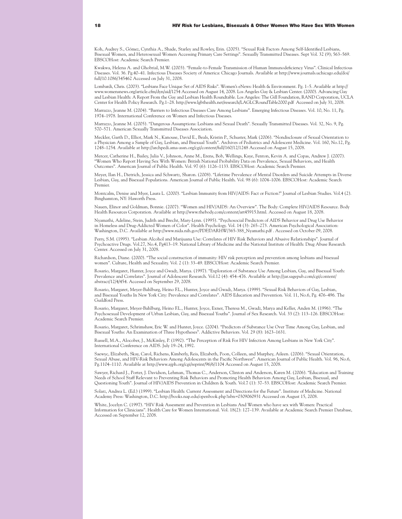Koh, Audrey S., Gómez, Cynthia A., Shade, Starley and Rowley, Erin. (2005). "Sexual Risk Factors Among Self-Identified Lesbians, Bisexual Women, and Heterosexual Women Accessing Primary Care Settings". Sexually Transmitted Diseases. Sept Vol. 32 (9); 563–569. EBSCOHost: Academic Search Premier.

Kwakwa, Helena A. and Ghobrial, M.W. (2003). "Female-to-Female Transmission of Human Immunodeficiency Virus". Clinical Infectious Diseases. Vol. 36. Pg.40–41. Infectious Diseases Society of America: Chicago Journals. Available at http://www.journals.uchicago.edu/doi/ full/10.1086/345462 Accessed on July 31, 2008.

Lombardi, Chris. (2003). "Lesbians Face Unique Set of AIDS Risks". Women's eNews: Health & Environment. Pg. 1–5. Available at http:// www.womensnews.org/article.cfm/dyn/aid/1254 Accessed on August 14, 2008. Los Angeles Gay & Lesbian Center. (2000). Advancing Gay and Lesbian Health: A Report From the Gay and Lesbian Health Roundtable. Los Angeles: The Gill Foundation, RAND Corporation, UCLA Center for Health Policy Research. Pg.1–28. http://www.lgbthealth.net/research/LAGLCRoundTable2000.pdf Accessed on July 31, 2008.

Marrazzo, Jeanne M. (2004). "Barriers to Infectious Diseases Care Among Lesbians". Emerging Infectious Diseases. Vol. 10, No. 11, Pg. 1974–1978. International Conference on Women and Infectious Diseases.

Marrazzo, Jeanne M. (2005). "Dangerous Assumptions: Lesbians and Sexual Death". Sexually Transmitted Diseases. Vol. 32, No. 9, Pg. 570–571. American Sexually Transmitted Diseases Association.

Meckler, Garth D., Elliot, Mark N., Kanouse, David E., Beals, Kristin P., Schuster, Mark (2006). "Nondisclosure of Sexual Orientation to a Physician Among a Sample of Gay, Lesbian, and Bisexual Youth". Archives of Pediatrics and Adolescent Medicine. Vol. 160, No.12, Pg. 1248–1254. Available at http://archpedi.ama-assn.org/cgi/content/full/160/12/1248 Accessed on August 15, 2008.

Mercer, Catherine H., Bailey, Julia V., Johnson, Anne M., Erens, Bob, Wellings, Kaye, Fenton, Kevin A. and Copas, Andrew J. (2007). "Women Who Report Having Sex With Women: British National Probability Data on Prevalence, Sexual Behaviors, and Health Outcomes". American Journal of Public Health. Vol. 97 (6): 1126–1133. EBSCOHost: Academic Search Premier.

Meyer, Ilan H., Dietrich, Jessica and Schwartz, Sharon. (2008). "Lifetime Prevalence of Mental Disorders and Suicide Attempts in Diverse Lesbian, Gay, and Bisexual Populations. American Journal of Public Health. Vol. 98 (6): 1004–1006. EBSCOHost: Academic Search Premier.

Montcalm, Denise and Myer, Laura L. (2000). "Lesbian Immunity from HIV/AIDS: Fact or Fiction?" Journal of Lesbian Studies. Vol.4 (2). Binghamton, NY: Haworth Press.

Nauen, Elinor and Goldman, Bonnie. (2007). "Women and HIV/AIDS: An Overview". The Body: Complete HIV/AIDS Resource. Body Health Resources Corporation. Available at http://www.thebody.com/content/art45915.html. Accessed on August 18, 2008.

Nyamathi, Adeline, Stein, Judith and Brecht, Mary-Lynn. (1995). "Psychosocial Predictors of AIDS Behavior and Drug Use Behavior in Homeless and Drug-Addicted Women of Color". Health Psychology. Vol. 14 (3): 265–273. American Psychological Association: Washington, D.C. Available at http://www.nida.nih.gov/PDF/DARHW/365-388\_Nyamathi.pdf . Accessed on October 09, 2008.

Perry, S.M. (1995). "Lesbian Alcohol and Marijuana Use: Correlates of HIV Risk Behaviors and Abusive Relationships". Journal of Psychoactive Drugs. Vol.27, No.4, Pg413–19. National Library of Medicine and the National Institute of Health: Drug Abuse Research Center. Accessed on July 31, 2008.

Richardson, Diane. (2000). "The social construction of immunity: HIV risk perception and prevention among lesbians and bisexual women". Culture, Health and Sexuality. Vol. 2 (1): 33–49. EBSCOHost: Academic Search Premier.

Rosario, Margaret, Hunter, Joyce and Gwadz, Marya. (1997). "Exploration of Substance Use Among Lesbian, Gay, and Bisexual Youth: Prevalence and Correlates". Journal of Adolescent Research. Vol.12 (4): 454–476. Available at http://jar.sagepub.com/cgi/content/ abstract/12/4/454. Accessed on September 29, 2008.

Rosario, Margaret, Meyer-Bahlburg, Heino F.L., Hunter, Joyce and Gwadz, Marya. (1999). "Sexual Risk Behaviors of Gay, Lesbian, and Bisexual Youths In New York City: Prevalence and Correlates". AIDS Education and Prevention. Vol. 11, No.6, Pg. 476–496. The Guildford Press.

Rosario, Margaret, Meyer-Bahlburg, Heino F.L., Hunter, Joyce, Exner, Theresa M., Gwadz, Marya and Keller, Anden M. (1996). "The Psychosexual Development of Urban Lesbian, Gay, and Bisexual Youths". Journal of Sex Research. Vol. 33 (2): 113–126. EBSCOHost: Academic Search Premier.

Rosario, Margaret, Schrimshaw, Eric W. and Hunter, Joyce. (2004). "Predictors of Substance Use Over Time Among Gay, Lesbian, and Bisexual Youths: An Examination of Three Hypotheses". Addictive Behaviors. Vol. 29 (8): 1623–1631.

Russell, M.A., Alocober, J., McKinley, P. (1992). "The Perception of Risk For HIV Infection Among Lesbians in New York City". International Conference on AIDS. July 19–24, 1992.

Saewyc, Elizabeth, Skay, Carol, Richens, Kimberly, Reis, Elizabeth, Poon, Colleen, and Murphey, Aileen. (2006). "Sexual Orientation, Sexual Abuse, and HIV-Risk Behaviors Among Adolescents in the Pacific Northwest". American Journal of Public Health. Vol. 96, No.6, Pg.1104–1110. Available at http://www.ajph.org/cgi/reprint/96/6/1104 Accessed on August 15, 2008.

Sawyer, Richard J., Porter, J. Davidson, Lehman, Thomas C., Anderson, Clinton and Anderson, Karen M. (2006). "Education and Training Needs of School Staff Relevant to Preventing Risk Behaviors and Promoting Health Behaviors Among Gay, Lesbian, Bisexual, and Questioning Youth". Journal of HIV/AIDS Prevention in Children & Youth. Vol.7 (1): 37–53. EBSCOHost: Academic Search Premier.

Solarz, Andrea L. (Ed.) (1999). "Lesbian Health: Current Assessment and Directions for the Future". Institute of Medicine. National Academy Press: Washington, D.C. http://books.nap.edu/openbook.php?isbn=0309060931 Accessed on August 15, 2008.

White, Jocelyn C. (1997). "HIV Risk Assesment and Prevention in Lesbians And Women who have sex with Women: Practical Information for Clinicians". Health Care for Women International. Vol. 18(2): 127–139. Available at Academic Search Premier Database, Accessed on September 12, 2008.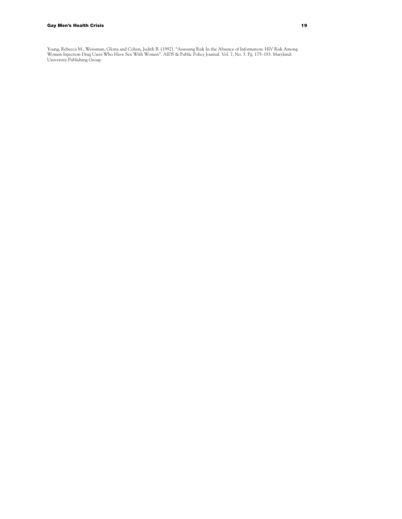Young, Rebecca M., Weissman, Gloria and Cohen, Judith B. (1992). "Assessing Risk In the Absence of Information: HIV Risk Among Women Injection-Drug Users Who Have Sex With Women". AIDS & Public Policy Journal. Vol. 7, No. 3. Pg. 175–183. Maryland: University Publishing Group.